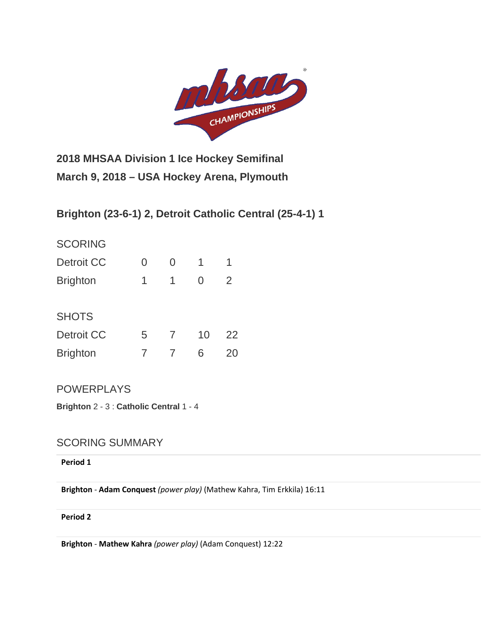

**2018 MHSAA Division 1 Ice Hockey Semifinal March 9, 2018 – USA Hockey Arena, Plymouth**

**Brighton (23-6-1) 2, Detroit Catholic Central (25-4-1) 1**

| <b>SCORING</b>    |   |   |    |    |
|-------------------|---|---|----|----|
| <b>Detroit CC</b> | 0 | O | 1  | 1  |
| <b>Brighton</b>   | 1 | 1 | ∩  | 2  |
|                   |   |   |    |    |
| <b>SHOTS</b>      |   |   |    |    |
| Detroit CC        | 5 | 7 | 10 | 22 |
| <b>Brighton</b>   |   |   | 6  | ンハ |
|                   |   |   |    |    |

POWERPLAYS

**Brighton** 2 - 3 : **Catholic Central** 1 - 4

# SCORING SUMMARY

**Period 1**

**Brighton** - **Adam Conquest** *(power play)* (Mathew Kahra, Tim Erkkila) 16:11

**Period 2**

**Brighton** - **Mathew Kahra** *(power play)* (Adam Conquest) 12:22